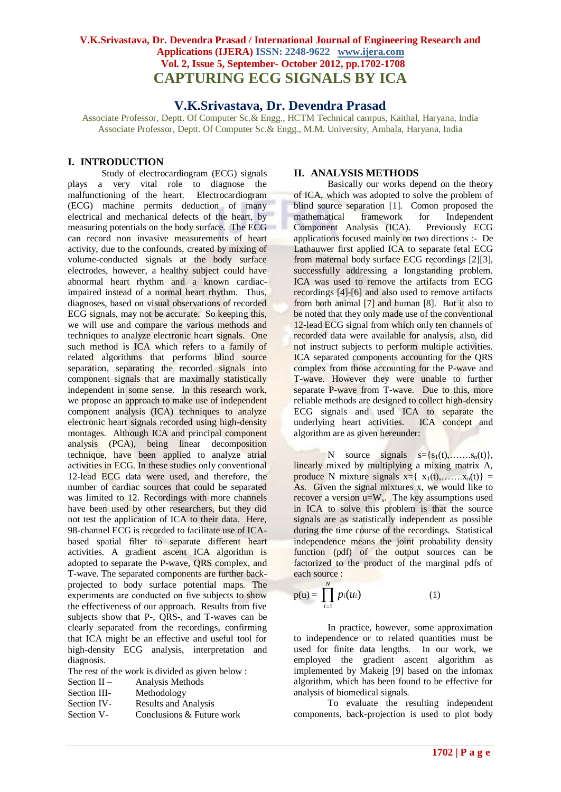# **V.K.Srivastava, Dr. Devendra Prasad**

Associate Professor, Deptt. Of Computer Sc.& Engg., HCTM Technical campus, Kaithal, Haryana, India Associate Professor, Deptt. Of Computer Sc.& Engg., M.M. University, Ambala, Haryana, India

## **I. INTRODUCTION**

Study of electrocardiogram (ECG) signals plays a very vital role to diagnose the malfunctioning of the heart. Electrocardiogram (ECG) machine permits deduction of many electrical and mechanical defects of the heart, by measuring potentials on the body surface. The ECG can record non invasive measurements of heart activity, due to the confounds, created by mixing of volume-conducted signals at the body surface electrodes, however, a healthy subject could have abnormal heart rhythm and a known cardiacimpaired instead of a normal heart rhythm. Thus, diagnoses, based on visual observations of recorded ECG signals, may not be accurate. So keeping this, we will use and compare the various methods and techniques to analyze electronic heart signals. One such method is ICA which refers to a family of related algorithms that performs blind source separation, separating the recorded signals into component signals that are maximally statistically independent in some sense. In this research work, we propose an approach to make use of independent component analysis (ICA) techniques to analyze electronic heart signals recorded using high-density montages. Although ICA and principal component analysis (PCA), being linear decomposition technique, have been applied to analyze atrial activities in ECG. In these studies only conventional 12-lead ECG data were used, and therefore, the number of cardiac sources that could be separated was limited to 12. Recordings with more channels have been used by other researchers, but they did not test the application of ICA to their data. Here, 98-channel ECG is recorded to facilitate use of ICAbased spatial filter to separate different heart activities. A gradient ascent ICA algorithm is adopted to separate the P-wave, QRS complex, and T-wave. The separated components are further backprojected to body surface potential maps. The experiments are conducted on five subjects to show the effectiveness of our approach. Results from five subjects show that P-, QRS-, and T-waves can be clearly separated from the recordings, confirming that ICA might be an effective and useful tool for high-density ECG analysis, interpretation and diagnosis.

The rest of the work is divided as given below :

- Section II Analysis Methods
- Section III- Methodology
- Section IV- Results and Analysis
- Section V- Conclusions & Future work

### **II. ANALYSIS METHODS**

Basically our works depend on the theory of ICA, which was adopted to solve the problem of blind source separation [1]. Comon proposed the mathematical framework for Independent Component Analysis (ICA). Previously ECG applications focused mainly on two directions :- De Lathauwer first applied ICA to separate fetal ECG from maternal body surface ECG recordings [2][3], successfully addressing a longstanding problem. ICA was used to remove the artifacts from ECG recordings [4]-[6] and also used to remove artifacts from both animal [7] and human [8]. But it also to be noted that they only made use of the conventional 12-lead ECG signal from which only ten channels of recorded data were available for analysis, also, did not instruct subjects to perform multiple activities. ICA separated components accounting for the QRS complex from those accounting for the P-wave and T-wave. However they were unable to further separate P-wave from T-wave. Due to this, more reliable methods are designed to collect high-density ECG signals and used ICA to separate the underlying heart activities. ICA concept and algorithm are as given hereunder:

N source signals  $s = \{s_1(t), \ldots, s_n(t)\},\$ linearly mixed by multiplying a mixing matrix A, produce N mixture signals  $x = \{ x_1(t), \ldots, x_n(t) \}$ As. Given the signal mixtures x, we would like to recover a version  $u=W_x$ . The key assumptions used in ICA to solve this problem is that the source signals are as statistically independent as possible during the time course of the recordings. Statistical independence means the joint probability density function (pdf) of the output sources can be factorized to the product of the marginal pdfs of each source :

$$
p(u) = \prod_{i=1}^{N} p_i(u_i)
$$
 (1)

In practice, however, some approximation to independence or to related quantities must be used for finite data lengths. In our work, we employed the gradient ascent algorithm as implemented by Makeig [9] based on the infomax algorithm, which has been found to be effective for analysis of biomedical signals.

To evaluate the resulting independent components, back-projection is used to plot body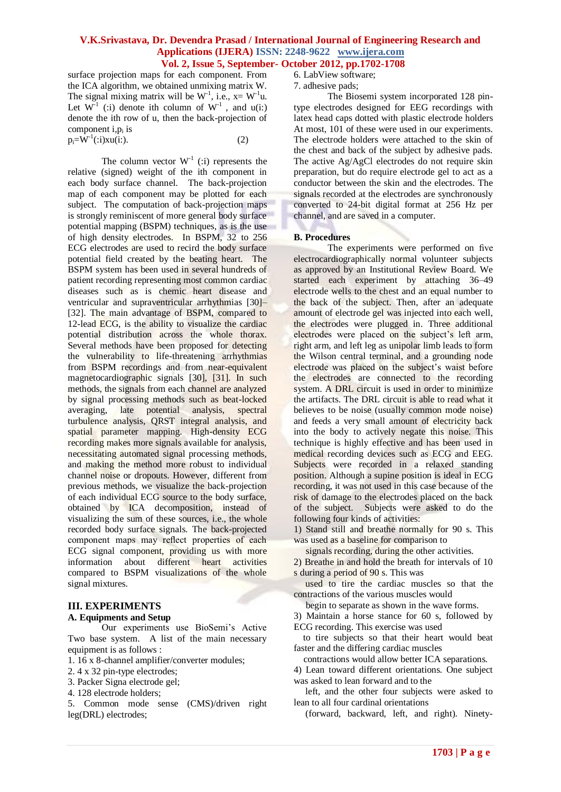surface projection maps for each component. From the ICA algorithm, we obtained unmixing matrix W. The signal mixing matrix will be  $W^{-1}$ , i.e.,  $x = W^{-1}u$ . Let  $W^{-1}$  (:i) denote ith column of  $W^{-1}$ , and  $u(i)$ denote the ith row of u, then the back-projection of component *i*, $p_i$  *is*  $p_i = W^{-1}(i)xu(i).$  (2)

The column vector  $W<sup>-1</sup>$  (:i) represents the relative (signed) weight of the ith component in each body surface channel. The back-projection map of each component may be plotted for each subject. The computation of back-projection maps is strongly reminiscent of more general body surface potential mapping (BSPM) techniques, as is the use of high density electrodes. In BSPM, 32 to 256 ECG electrodes are used to recird the body surface potential field created by the beating heart. The BSPM system has been used in several hundreds of patient recording representing most common cardiac diseases such as is chemic heart disease and ventricular and supraventricular arrhythmias [30]– [32]. The main advantage of BSPM, compared to 12-lead ECG, is the ability to visualize the cardiac potential distribution across the whole thorax. Several methods have been proposed for detecting the vulnerability to life-threatening arrhythmias from BSPM recordings and from near-equivalent magnetocardiographic signals [30], [31]. In such methods, the signals from each channel are analyzed by signal processing methods such as beat-locked averaging, late potential analysis, spectral turbulence analysis, QRST integral analysis, and spatial parameter mapping. High-density ECG recording makes more signals available for analysis, necessitating automated signal processing methods, and making the method more robust to individual channel noise or dropouts. However, different from previous methods, we visualize the back-projection of each individual ECG source to the body surface, obtained by ICA decomposition, instead of visualizing the sum of these sources, i.e., the whole recorded body surface signals. The back-projected component maps may reflect properties of each ECG signal component, providing us with more information about different heart activities compared to BSPM visualizations of the whole signal mixtures.

#### **III. EXPERIMENTS**

#### **A. Equipments and Setup**

Our experiments use BioSemi's Active Two base system. A list of the main necessary equipment is as follows :

1. 16 x 8-channel amplifier/converter modules;

- 2. 4 x 32 pin-type electrodes;
- 3. Packer Signa electrode gel;

4. 128 electrode holders;

5. Common mode sense (CMS)/driven right leg(DRL) electrodes;

6. LabView software;

```
7. adhesive pads;
```
The Biosemi system incorporated 128 pintype electrodes designed for EEG recordings with latex head caps dotted with plastic electrode holders At most, 101 of these were used in our experiments. The electrode holders were attached to the skin of the chest and back of the subject by adhesive pads. The active Ag/AgCl electrodes do not require skin preparation, but do require electrode gel to act as a conductor between the skin and the electrodes. The signals recorded at the electrodes are synchronously converted to 24-bit digital format at 256 Hz per channel, and are saved in a computer.

#### **B. Procedures**

The experiments were performed on five electrocardiographically normal volunteer subjects as approved by an Institutional Review Board. We started each experiment by attaching 36–49 electrode wells to the chest and an equal number to the back of the subject. Then, after an adequate amount of electrode gel was injected into each well, the electrodes were plugged in. Three additional electrodes were placed on the subject's left arm, right arm, and left leg as unipolar limb leads to form the Wilson central terminal, and a grounding node electrode was placed on the subject's waist before the electrodes are connected to the recording system. A DRL circuit is used in order to minimize the artifacts. The DRL circuit is able to read what it believes to be noise (usually common mode noise) and feeds a very small amount of electricity back into the body to actively negate this noise. This technique is highly effective and has been used in medical recording devices such as ECG and EEG. Subjects were recorded in a relaxed standing position. Although a supine position is ideal in ECG recording, it was not used in this case because of the risk of damage to the electrodes placed on the back of the subject. Subjects were asked to do the following four kinds of activities:

1) Stand still and breathe normally for 90 s. This was used as a baseline for comparison to

signals recording, during the other activities.

2) Breathe in and hold the breath for intervals of 10 s during a period of 90 s. This was

 used to tire the cardiac muscles so that the contractions of the various muscles would

begin to separate as shown in the wave forms.

3) Maintain a horse stance for 60 s, followed by ECG recording. This exercise was used

 to tire subjects so that their heart would beat faster and the differing cardiac muscles

contractions would allow better ICA separations.

4) Lean toward different orientations. One subject was asked to lean forward and to the

 left, and the other four subjects were asked to lean to all four cardinal orientations

(forward, backward, left, and right). Ninety-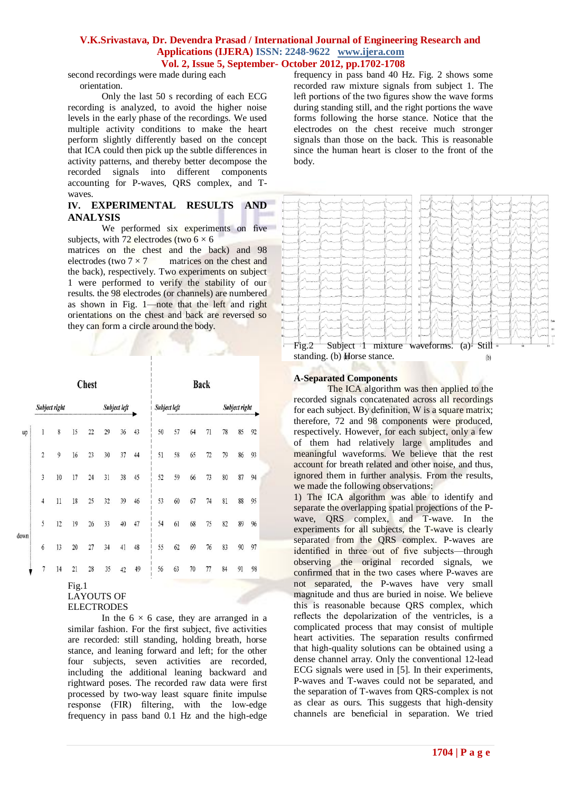second recordings were made during each orientation.

Only the last 50 s recording of each ECG recording is analyzed, to avoid the higher noise levels in the early phase of the recordings. We used multiple activity conditions to make the heart perform slightly differently based on the concept that ICA could then pick up the subtle differences in activity patterns, and thereby better decompose the recorded signals into different components accounting for P-waves, QRS complex, and Twaves.

## **IV. EXPERIMENTAL RESULTS AND ANALYSIS**

We performed six experiments on five subjects, with 72 electrodes (two  $6 \times 6$ )

matrices on the chest and the back) and 98 electrodes (two  $7 \times 7$  matrices on the chest and the back), respectively. Two experiments on subject 1 were performed to verify the stability of our results. the 98 electrodes (or channels) are numbered as shown in Fig. 1—note that the left and right orientations on the chest and back are reversed so they can form a circle around the body.

| <b>Chest</b> |                |    |    |    |    |              | <b>Back</b> |              |    |    |    |               |    |    |  |
|--------------|----------------|----|----|----|----|--------------|-------------|--------------|----|----|----|---------------|----|----|--|
|              | Subject right  |    |    |    |    | Subject left |             | Subject left |    |    |    | Subject right |    |    |  |
| up           | 1              | 8  | 15 | 22 | 29 | 36           | 43          | 50           | 57 | 64 | 71 | 78            | 85 | 92 |  |
|              | $\overline{2}$ | 9  | 16 | 23 | 30 | 37           | 44          | 51           | 58 | 65 | 72 | 79            | 86 | 93 |  |
|              | 3              | 10 | 17 | 24 | 31 | 38           | 45          | 52           | 59 | 66 | 73 | 80            | 87 | 94 |  |
|              | $\overline{4}$ | 11 | 18 | 25 | 32 | 39           | 46          | 53           | 60 | 67 | 74 | 81            | 88 | 95 |  |
|              | 5              | 12 | 19 | 26 | 33 | 40           | 47          | 54           | 61 | 68 | 75 | 82            | 89 | 96 |  |
| down         | 6              | 13 | 20 | 27 | 34 | 41           | 48          | 55           | 62 | 69 | 76 | 83            | 90 | 97 |  |
|              | $\overline{7}$ | 14 | 21 | 28 | 35 | 42           | 49          | 56           | 63 | 70 | 77 | 84            | 91 | 98 |  |

#### Fig.1 LAYOUTS OF **ELECTRODES**

In the  $6 \times 6$  case, they are arranged in a similar fashion. For the first subject, five activities are recorded: still standing, holding breath, horse stance, and leaning forward and left; for the other four subjects, seven activities are recorded, including the additional leaning backward and rightward poses. The recorded raw data were first processed by two-way least square finite impulse response (FIR) filtering, with the low-edge frequency in pass band 0.1 Hz and the high-edge frequency in pass band 40 Hz. Fig. 2 shows some recorded raw mixture signals from subject 1. The left portions of the two figures show the wave forms during standing still, and the right portions the wave forms following the horse stance. Notice that the electrodes on the chest receive much stronger signals than those on the back. This is reasonable since the human heart is closer to the front of the body.



# **A-Separated Components**

The ICA algorithm was then applied to the recorded signals concatenated across all recordings for each subject. By definition, W is a square matrix; therefore, 72 and 98 components were produced, respectively. However, for each subject, only a few of them had relatively large amplitudes and meaningful waveforms. We believe that the rest account for breath related and other noise, and thus, ignored them in further analysis. From the results, we made the following observations:

1) The ICA algorithm was able to identify and separate the overlapping spatial projections of the Pwave, QRS complex, and T-wave. In the experiments for all subjects, the T-wave is clearly separated from the QRS complex. P-waves are identified in three out of five subjects—through observing the original recorded signals, we confirmed that in the two cases where P-waves are not separated, the P-waves have very small magnitude and thus are buried in noise. We believe this is reasonable because QRS complex, which reflects the depolarization of the ventricles, is a complicated process that may consist of multiple heart activities. The separation results confirmed that high-quality solutions can be obtained using a dense channel array. Only the conventional 12-lead ECG signals were used in [5]. In their experiments, P-waves and T-waves could not be separated, and the separation of T-waves from QRS-complex is not as clear as ours. This suggests that high-density channels are beneficial in separation. We tried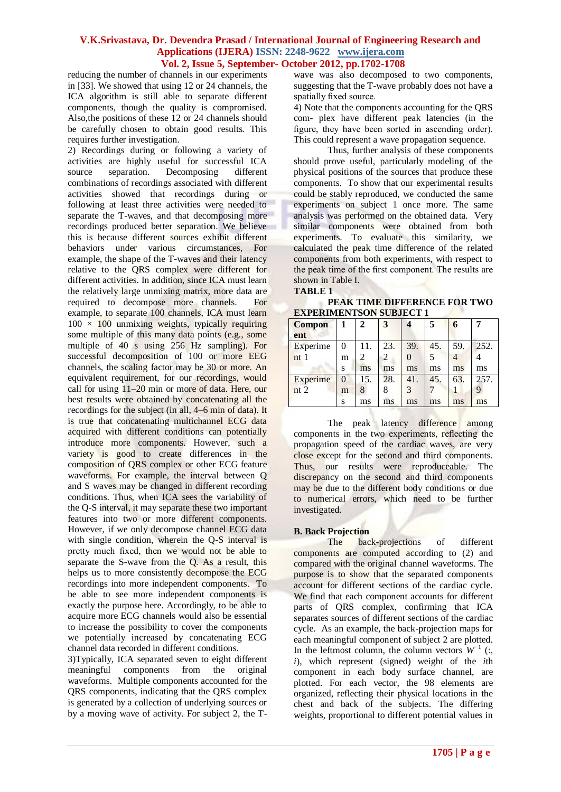reducing the number of channels in our experiments in [33]. We showed that using 12 or 24 channels, the ICA algorithm is still able to separate different components, though the quality is compromised. Also,the positions of these 12 or 24 channels should be carefully chosen to obtain good results. This requires further investigation.

2) Recordings during or following a variety of activities are highly useful for successful ICA source separation. Decomposing different combinations of recordings associated with different activities showed that recordings during or following at least three activities were needed to separate the T-waves, and that decomposing more recordings produced better separation. We believe this is because different sources exhibit different behaviors under various circumstances, For example, the shape of the T-waves and their latency relative to the QRS complex were different for different activities. In addition, since ICA must learn the relatively large unmixing matrix, more data are required to decompose more channels. For example, to separate 100 channels, ICA must learn  $100 \times 100$  unmixing weights, typically requiring some multiple of this many data points (e.g., some multiple of 40 s using 256 Hz sampling). For successful decomposition of 100 or more EEG channels, the scaling factor may be 30 or more. An equivalent requirement, for our recordings, would call for using 11–20 min or more of data. Here, our best results were obtained by concatenating all the recordings for the subject (in all, 4–6 min of data). It is true that concatenating multichannel ECG data acquired with different conditions can potentially introduce more components. However, such a variety is good to create differences in the composition of QRS complex or other ECG feature waveforms. For example, the interval between Q and S waves may be changed in different recording conditions. Thus, when ICA sees the variability of the Q-S interval, it may separate these two important features into two or more different components. However, if we only decompose channel ECG data with single condition, wherein the Q-S interval is pretty much fixed, then we would not be able to separate the S-wave from the Q. As a result, this helps us to more consistently decompose the ECG recordings into more independent components. To be able to see more independent components is exactly the purpose here. Accordingly, to be able to acquire more ECG channels would also be essential to increase the possibility to cover the components we potentially increased by concatenating ECG channel data recorded in different conditions.

3)Typically, ICA separated seven to eight different meaningful components from the original waveforms. Multiple components accounted for the QRS components, indicating that the QRS complex is generated by a collection of underlying sources or by a moving wave of activity. For subject 2, the T-

wave was also decomposed to two components, suggesting that the T-wave probably does not have a spatially fixed source.

4) Note that the components accounting for the QRS com- plex have different peak latencies (in the figure, they have been sorted in ascending order). This could represent a wave propagation sequence.

Thus, further analysis of these components should prove useful, particularly modeling of the physical positions of the sources that produce these components. To show that our experimental results could be stably reproduced, we conducted the same experiments on subject 1 once more. The same analysis was performed on the obtained data. Very similar components were obtained from both experiments. To evaluate this similarity, we calculated the peak time difference of the related components from both experiments, with respect to the peak time of the first component. The results are shown in Table I.

# **TABLE 1**

**PEAK TIME DIFFERENCE FOR TWO EXPERIMENTSON SUBJECT 1**

| <b>Compon</b><br>ent   |               | 2        | 3                     |          | 5   |     |           |
|------------------------|---------------|----------|-----------------------|----------|-----|-----|-----------|
| <b>Experime</b><br>nt1 | $\theta$<br>m | 11.<br>2 | 23.<br>$\overline{c}$ | 39.<br>0 | 45. | 59. | 252.      |
|                        | S             | ms       | ms                    | ms       | ms  | ms  | ms        |
| Experime<br>nt2        | $\theta$<br>m | 15.<br>8 | 28.<br>8              | 41.<br>3 | 45. | 63. | 257.<br>9 |
|                        | S             | ms       | ms                    | ms       | ms  | ms  | ms        |

The peak latency difference among components in the two experiments, reflecting the propagation speed of the cardiac waves, are very close except for the second and third components. Thus, our results were reproduceable. The discrepancy on the second and third components may be due to the different body conditions or due to numerical errors, which need to be further investigated.

### **B. Back Projection**

The back-projections of different components are computed according to (2) and compared with the original channel waveforms. The purpose is to show that the separated components account for different sections of the cardiac cycle. We find that each component accounts for different parts of QRS complex, confirming that ICA separates sources of different sections of the cardiac cycle. As an example, the back-projection maps for each meaningful component of subject 2 are plotted. In the leftmost column, the column vectors  $W^{-1}$  (:, *i*), which represent (signed) weight of the *i*th component in each body surface channel, are plotted. For each vector, the 98 elements are organized, reflecting their physical locations in the chest and back of the subjects. The differing weights, proportional to different potential values in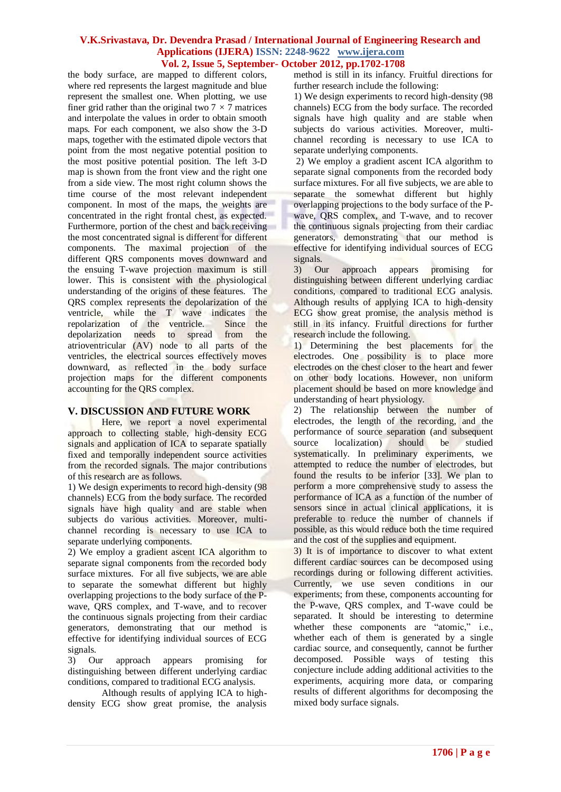the body surface, are mapped to different colors, where red represents the largest magnitude and blue represent the smallest one. When plotting, we use finer grid rather than the original two  $7 \times 7$  matrices and interpolate the values in order to obtain smooth maps. For each component, we also show the 3-D maps, together with the estimated dipole vectors that point from the most negative potential position to the most positive potential position. The left 3-D map is shown from the front view and the right one from a side view. The most right column shows the time course of the most relevant independent component. In most of the maps, the weights are concentrated in the right frontal chest, as expected. Furthermore, portion of the chest and back receiving the most concentrated signal is different for different components. The maximal projection of the different QRS components moves downward and the ensuing T-wave projection maximum is still lower. This is consistent with the physiological understanding of the origins of these features. The QRS complex represents the depolarization of the ventricle, while the T wave indicates the repolarization of the ventricle. Since the depolarization needs to spread from the atrioventricular (AV) node to all parts of the ventricles, the electrical sources effectively moves downward, as reflected in the body surface projection maps for the different components accounting for the QRS complex.

# **V. DISCUSSION AND FUTURE WORK**

Here, we report a novel experimental approach to collecting stable, high-density ECG signals and application of ICA to separate spatially fixed and temporally independent source activities from the recorded signals. The major contributions of this research are as follows.

1) We design experiments to record high-density (98 channels) ECG from the body surface. The recorded signals have high quality and are stable when subjects do various activities. Moreover, multichannel recording is necessary to use ICA to separate underlying components.

2) We employ a gradient ascent ICA algorithm to separate signal components from the recorded body surface mixtures. For all five subjects, we are able to separate the somewhat different but highly overlapping projections to the body surface of the Pwave, QRS complex, and T-wave, and to recover the continuous signals projecting from their cardiac generators, demonstrating that our method is effective for identifying individual sources of ECG signals.

3) Our approach appears promising for distinguishing between different underlying cardiac conditions, compared to traditional ECG analysis.

Although results of applying ICA to highdensity ECG show great promise, the analysis method is still in its infancy. Fruitful directions for further research include the following:

1) We design experiments to record high-density (98 channels) ECG from the body surface. The recorded signals have high quality and are stable when subjects do various activities. Moreover, multichannel recording is necessary to use ICA to separate underlying components.

2) We employ a gradient ascent ICA algorithm to separate signal components from the recorded body surface mixtures. For all five subjects, we are able to separate the somewhat different but highly overlapping projections to the body surface of the Pwave, QRS complex, and T-wave, and to recover the continuous signals projecting from their cardiac generators, demonstrating that our method is effective for identifying individual sources of ECG signals.

3) Our approach appears promising for distinguishing between different underlying cardiac conditions, compared to traditional ECG analysis. Although results of applying ICA to high-density ECG show great promise, the analysis method is still in its infancy. Fruitful directions for further research include the following.

1) Determining the best placements for the electrodes. One possibility is to place more electrodes on the chest closer to the heart and fewer on other body locations. However, non uniform placement should be based on more knowledge and understanding of heart physiology.

2) The relationship between the number of electrodes, the length of the recording, and the performance of source separation (and subsequent source localization) should be studied systematically. In preliminary experiments, we attempted to reduce the number of electrodes, but found the results to be inferior [33]. We plan to perform a more comprehensive study to assess the performance of ICA as a function of the number of sensors since in actual clinical applications, it is preferable to reduce the number of channels if possible, as this would reduce both the time required and the cost of the supplies and equipment.

3) It is of importance to discover to what extent different cardiac sources can be decomposed using recordings during or following different activities. Currently, we use seven conditions in our experiments; from these, components accounting for the P-wave, QRS complex, and T-wave could be separated. It should be interesting to determine whether these components are "atomic," i.e., whether each of them is generated by a single cardiac source, and consequently, cannot be further decomposed. Possible ways of testing this conjecture include adding additional activities to the experiments, acquiring more data, or comparing results of different algorithms for decomposing the mixed body surface signals.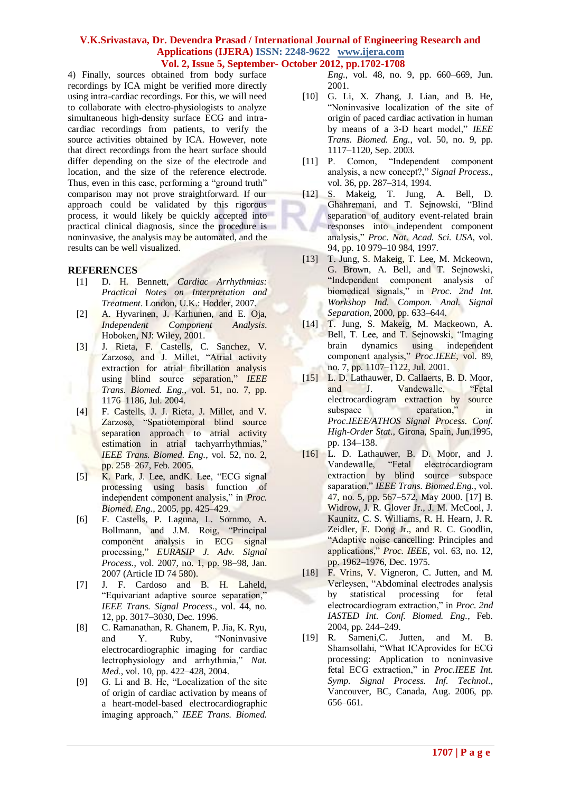4) Finally, sources obtained from body surface recordings by ICA might be verified more directly using intra-cardiac recordings. For this, we will need to collaborate with electro-physiologists to analyze simultaneous high-density surface ECG and intracardiac recordings from patients, to verify the source activities obtained by ICA. However, note that direct recordings from the heart surface should differ depending on the size of the electrode and location, and the size of the reference electrode. Thus, even in this case, performing a "ground truth" comparison may not prove straightforward. If our approach could be validated by this rigorous process, it would likely be quickly accepted into practical clinical diagnosis, since the procedure is noninvasive, the analysis may be automated, and the results can be well visualized.

# **REFERENCES**

- [1] D. H. Bennett, *Cardiac Arrhythmias: Practical Notes on Interpretation and Treatment*. London, U.K.: Hodder, 2007.
- [2] A. Hyvarinen, J. Karhunen, and E. Oja, *Independent Component Analysis*. Hoboken, NJ: Wiley, 2001.
- [3] J. Rieta, F. Castells, C. Sanchez, V. Zarzoso, and J. Millet, "Atrial activity extraction for atrial fibrillation analysis using blind source separation," IEEE *Trans. Biomed. Eng.*, vol. 51, no. 7, pp. 1176–1186, Jul. 2004.
- [4] F. Castells, J. J. Rieta, J. Millet, and V. Zarzoso, "Spatiotemporal blind source separation approach to atrial activity estimation in atrial tachyarrhythmias," *IEEE Trans. Biomed. Eng.*, vol. 52, no. 2, pp. 258–267, Feb. 2005.
- [5] K. Park, J. Lee, and K. Lee, "ECG signal processing using basis function of independent component analysis," in *Proc. Biomed. Eng.*, 2005, pp. 425–429.
- [6] F. Castells, P. Laguna, L. Sornmo, A. Bollmann, and J.M. Roig, "Principal component analysis in ECG signal processing,‖ *EURASIP J. Adv. Signal Process.*, vol. 2007, no. 1, pp. 98–98, Jan. 2007 (Article ID 74 580).
- [7] J. F. Cardoso and B. H. Laheld, "Equivariant adaptive source separation," *IEEE Trans. Signal Process.*, vol. 44, no. 12, pp. 3017–3030, Dec. 1996.
- [8] C. Ramanathan, R. Ghanem, P. Jia, K. Ryu, and Y. Ruby, "Noninvasive electrocardiographic imaging for cardiac lectrophysiology and arrhythmia," Nat. *Med.*, vol. 10, pp. 422–428, 2004.
- [9] G. Li and B. He, "Localization of the site of origin of cardiac activation by means of a heart-model-based electrocardiographic imaging approach," IEEE Trans. Biomed.

*Eng.*, vol. 48, no. 9, pp. 660–669, Jun. 2001.

- [10] G. Li, X. Zhang, J. Lian, and B. He, ―Noninvasive localization of the site of origin of paced cardiac activation in human by means of a 3-D heart model," *IEEE Trans. Biomed. Eng.*, vol. 50, no. 9, pp. 1117–1120, Sep. 2003.
- [11] P. Comon, "Independent component" analysis, a new concept?," Signal Process., vol. 36, pp. 287–314, 1994.
- [12] S. Makeig, T. Jung, A. Bell, D. Ghahremani, and T. Sejnowski, "Blind separation of auditory event-related brain responses into independent component analysis,‖ *Proc. Nat. Acad. Sci. USA*, vol. 94, pp. 10 979–10 984, 1997.
- [13] T. Jung, S. Makeig, T. Lee, M. Mckeown, G. Brown, A. Bell, and T. Sejnowski, "Independent component analysis of biomedical signals," in *Proc. 2nd Int. Workshop Ind. Compon. Anal. Signal Separation*, 2000, pp. 633–644.
- [14] T. Jung, S. Makeig, M. Mackeown, A. Bell, T. Lee, and T. Sejnowski, "Imaging brain dynamics using independent component analysis," *Proc.IEEE*, vol. 89, no. 7, pp. 1107–1122, Jul. 2001.
- [15] L. D. Lathauwer, D. Callaerts, B. D. Moor, and J. Vandewalle, "Fetal electrocardiogram extraction by source subspace eparation," in *Proc.IEEE/ATHOS Signal Process. Conf. High-Order Stat.*, Girona, Spain, Jun.1995, pp. 134–138.
- [16] L. D. Lathauwer, B. D. Moor, and J. Vandewalle, "Fetal electrocardiogram extraction by blind source subspace saparation," IEEE Trans. Biomed.Eng., vol. 47, no. 5, pp. 567–572, May 2000. [17] B. Widrow, J. R. Glover Jr., J. M. McCool, J. Kaunitz, C. S. Williams, R. H. Hearn, J. R. Zeidler, E. Dong Jr., and R. C. Goodlin, "Adaptive noise cancelling: Principles and applications,‖ *Proc. IEEE*, vol. 63, no. 12, pp. 1962–1976, Dec. 1975.
- [18] F. Vrins, V. Vigneron, C. Jutten, and M. Verleysen, "Abdominal electrodes analysis by statistical processing for fetal electrocardiogram extraction," in Proc. 2nd *IASTED Int. Conf. Biomed. Eng.*, Feb. 2004, pp. 244–249.
- [19] R. Sameni, C. Jutten, and M. B. Shamsollahi, "What ICAprovides for ECG processing: Application to noninvasive fetal ECG extraction," in *Proc.IEEE Int*. *Symp. Signal Process. Inf. Technol.*, Vancouver, BC, Canada, Aug. 2006, pp. 656–661.